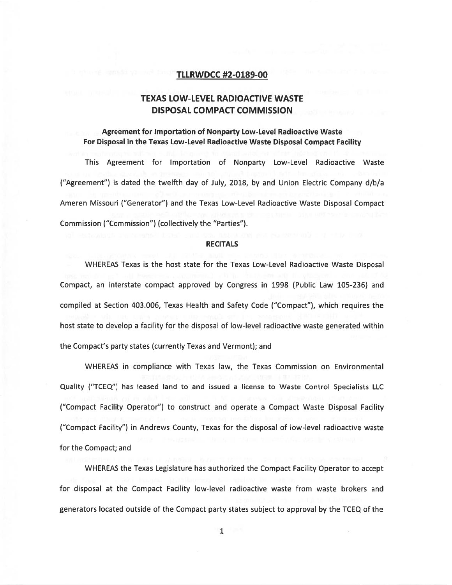### TLLRWDCC #2-0189-00

# TEXAS LOW-LEVEL RADIOACTIVE WASTE DISPOSAL COMPACT COMMISSION

## Agreement for Importation of Nonparty Low-Level Radioactive Waste For Disposal in the Texas Low-Level Radioactive Waste Disposal Compact Facility

This Agreement for Importation of Nonparty Low-Level Radioactive Waste ("Agreement") is dated the twelfth day of July, 2018, by and Union Electric Company d/b/a Ameren Missouri ("Generator") and the Texas Low-Level Radioactive Waste Disposal Compact Commission ("Commission") (collectively the "Parties").

#### **RECITALS**

WHEREAS Texas is the host state for the Texas Low-Level Radioactive Waste Disposal Compact, an interstate compac<sup>t</sup> approved by Congress in 1998 (Public Law 105-236) and compiled at Section 403.006, Texas Health and Safety Code ("Compact"), which requires the host state to develop <sup>a</sup> facility for the disposal of low-level radioactive waste generated within the Compact's party states (currently Texas and Vermont); and

WHEREAS in compliance with Texas law, the Texas Commission on Environmental Quality ("TCEQ") has leased land to and issued <sup>a</sup> license to Waste Control Specialists LLC ("Compact Facility Operator") to construct and operate <sup>a</sup> Compact Waste Disposal Facility ("Compact Facility") in Andrews County, Texas for the disposal of low-level radioactive waste for the Compact; and

WHEREAS the Texas Legislature has authorized the Compact Facility Operator to accep<sup>t</sup> for disposal at the Compact Facility low-level radioactive waste from waste brokers and generators located outside of the Compact party states subject to approval by the TCEQ of the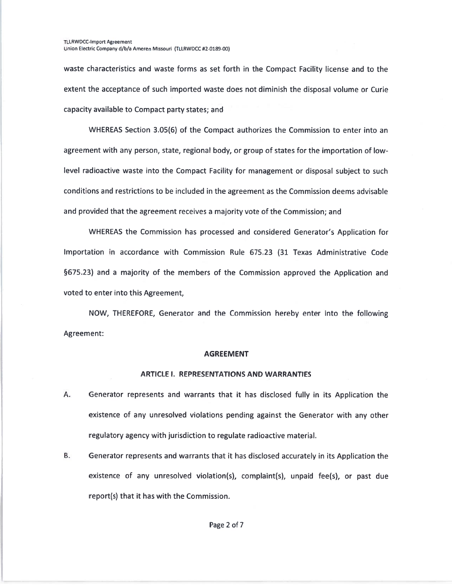waste characteristics and waste forms as set forth in the Compact Facility license and to the extent the acceptance of such imported waste does not diminish the disposal volume or Curie capacity available to Compact party states; and

WHEREAS Section 3.05(6) of the Compact authorizes the Commission to enter into an agreemen<sup>t</sup> with any person, state, regional body, or group of states for the importation of lowlevel radioactive waste into the Compact Facility for managemen<sup>t</sup> or disposal subject to such conditions and restrictions to be included in the agreemen<sup>t</sup> as the Commission deems advisable and provided that the agreemen<sup>t</sup> receives <sup>a</sup> majority vote of the Commission; and

WHEREAS the Commission has processed and considered Generator's Application for Importation in accordance with Commission Rule 675.23 (31 Texas Administrative Code §675.23) and <sup>a</sup> majority of the members of the Commission approved the Application and voted to enter into this Agreement

NOW, THEREFORE, Generator and the Commission hereby enter into the following Agreement:

#### AGREEMENT

#### ARTICLE I. REPRESENTATIONS AND WARRANTIES

- A. Generator represents and warrants that it has disclosed fully in its Application the existence of any unresolved violations pending against the Generator with any other regulatory agency with jurisdiction to regulate radioactive material.
- B. Generator represents and warrants that it has disclosed accurately in its Application the existence of any unresolved violation(s), complaint(s), unpaid fee(s), or pas<sup>t</sup> due report(s) that it has with the Commission.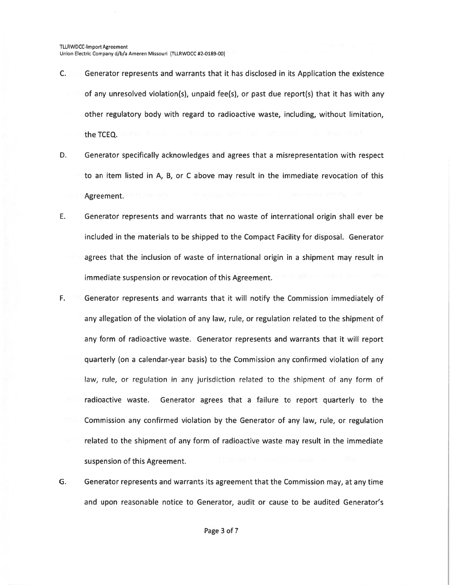Union Electric Company d/b/a Ameren Missouri (TLLRWDCC #2-0189-00)

- C. Generator represents and warrants that it has disclosed in its Application the existence of any unresolved violation(s), unpaid fee(s), or past due report(s) that it has with any other regulatory body with regard to radioactive waste, including, without limitation, the TCEQ.
- D. Generator specifically acknowledges and agrees that <sup>a</sup> misrepresentation with respec<sup>t</sup> to an item listed in A, 6, or C above may result in the immediate revocation of this Agreement.
- E. Generator represents and warrants that no waste of international origin shall ever be included in the materials to be shipped to the Compact Facility for disposal. Generator agrees that the inclusion of waste of international origin in <sup>a</sup> shipment may result in immediate suspension or revocation of this Agreement.
- F. Generator represents and warrants that it will notify the Commission immediately of any allegation of the violation of any law, rule, or regulation related to the shipment of any form of radioactive waste. Generator represents and warrants that it will repor<sup>t</sup> quarterly (on <sup>a</sup> calendar-year basis) to the Commission any confirmed violation of any law, rule, or regulation in any jurisdiction related to the shipment of any form of radioactive waste. Generator agrees that <sup>a</sup> failure to repor<sup>t</sup> quarterly to the Commission any confirmed violation by the Generator of any law, rule, or regulation related to the shipment of any form of radioactive waste may result in the immediate suspension of this Agreement.
- G. Generator represents and warrants its agreemen<sup>t</sup> that the Commission may, at any time and upon reasonable notice to Generator, audit or cause to be audited Generator's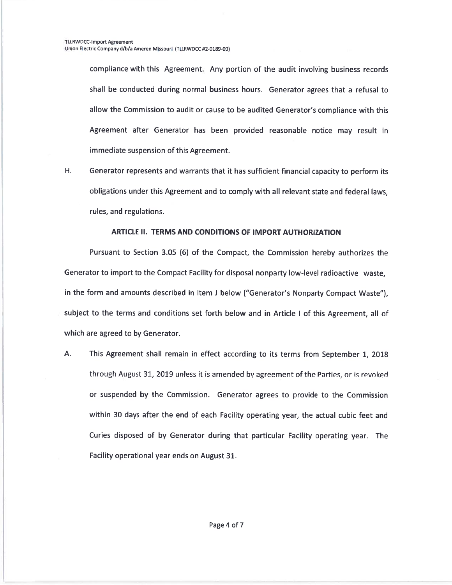compliance with this Agreement. Any portion of the audit involving business records shall be conducted during normal business hours. Generator agrees that <sup>a</sup> refusal to allow the Commission to audit or cause to be audited Generator's compliance with this Agreement after Generator has been provided reasonable notice may result in immediate suspension of this Agreement.

H. Generator represents and warrants that it has sufficient financial capacity to perform its obligations under this Agreement and to comply with all relevant state and federal laws, rules, and regulations.

### ARTICLE II. TERMS AND CONDITIONS OF IMPORT AUTHORIZATION

Pursuant to Section 3.05 (6) of the Compact, the Commission hereby authorizes the Generator to import to the Compact Facility for disposal nonparty low-level radioactive waste, in the form and amounts described in Item <sup>J</sup> below ("Generator's Nonparty Compact Waste"), subject to the terms and conditions set forth below and in Article <sup>I</sup> of this Agreement, all of which are agreed to by Generator.

A. This Agreement shall remain in effect according to its terms from September 1, 2018 through August 31, 2019 unless it is amended by agreemen<sup>t</sup> of the Parties, or is revoked or suspended by the Commission. Generator agrees to provide to the Commission within 30 days after the end of each Facility operating year, the actual cubic feet and Curies disposed of by Generator during that particular Facility operating year. The Facility operational year ends on August 31.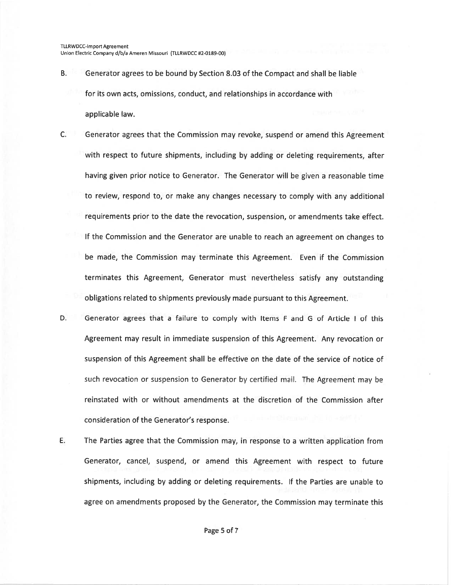- B. Generator agrees to be bound by Section 2.03 of the Compact and shall be liable for its own acts, omissions, conduct, and relationships in accordance with applicable law.
- C. Generator agrees that the Commission may revoke, suspend or amend this Agreement with respec<sup>t</sup> to future shipments, including by adding or deleting requirements, after having <sup>g</sup>iven prior notice to Generator. The Generator will be <sup>g</sup>iven <sup>a</sup> reasonable time to review, respond to, or make any changes necessary to comply with any additional requirements prior to the date the revocation, suspension, or amendments take effect. If the Commission and the Generator are unable to reach an agreemen<sup>t</sup> on changes to be made, the Commission may terminate this Agreement. Even if the Commission terminates this Agreement, Generator must nevertheless satisfy any outstanding obligations related to shipments previously made pursuan<sup>t</sup> to this Agreement.
- D. Generator agrees that <sup>a</sup> failure to comply with Items F and G of Article I of this Agreement may result in immediate suspension of this Agreement. Any revocation or suspension of this Agreement shall be effective on the date of the service of notice of such revocation or suspension to Generator by certified mail. The Agreement may be reinstated with or without amendments at the discretion of the Commission after consideration of the Generator's response.
- E. The Parties agree that the Commission may, in response to <sup>a</sup> written application from Generator, cancel, suspend, or amend this Agreement with respec<sup>t</sup> to future shipments, including by adding or deleting requirements. If the Parties are unable to agree on amendments proposed by the Generator, the Commission may terminate this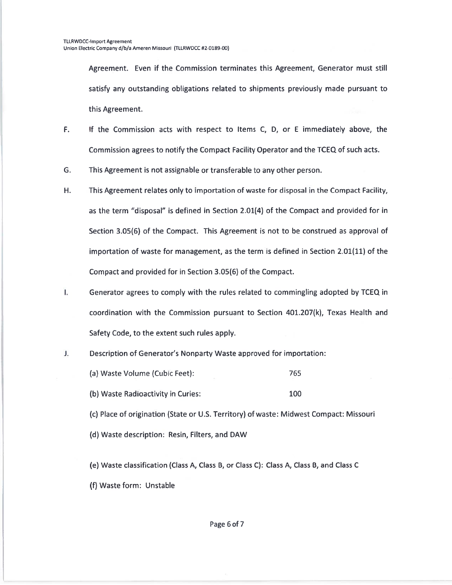Agreement. Even if the Commission terminates this Agreement, Generator must still satisfy any outstanding obligations related to shipments previously made pursuan<sup>t</sup> to this Agreement.

- F.. If the Commission acts with respect to Items C, D, or E immediately above, the Commission agrees to notify the Compact Facility Operator and the TCEQ of such acts.
- G.This Agreement is not assignable or transferable to any other person.
- H. This Agreement relates only to importation of waste for disposal in the Compact Facility, as the term "disposal" is defined in Section 2.01(4) of the Compact and provided for in Section 3.05(6) of the Compact. This Agreement is not to be construed as approval of importation of waste for management, as the term is defined in Section 2.01( $11$ ) of the Compact and provided for in Section 3.05(6) of the Compact.
- I. Generator agrees to comply with the rules related to commingling adopted by TCEQ in coordination with the Commission pursuan<sup>t</sup> to Section 401.207(k), Texas Health and Safety Code, to the extent such rules apply.
- J. Description of Generator's Nonparty Waste approved for importation:
	- (a) Waste Volume (Cubic Feet): 765
	- (b) Waste Radioactivity in Curies: 100

(c) Place of origination (State or U.S. Territory) of waste: Midwest Compact: Missouri

(d) Waste description: Resin, Filters, and DAW

fe) Waste classification (Class A, Class B, or Class C): Class A, Class B, and Class C (f) Waste form: Unstable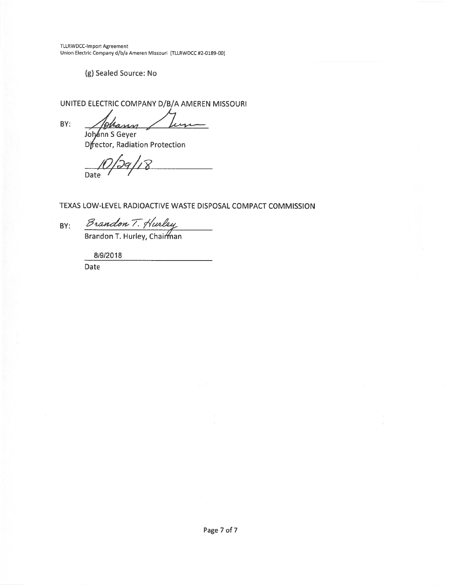**TLLRWDCC-Import Agreement** Union Electric Company d/b/a Ameren Missouri (TLLRWDCC #2-0189-00)

(g) Sealed Source: No

UNITED ELECTRIC COMPANY D/B/A AMEREN MISSOURI

BY:

Mann Lu

Johann S Geyer<br>Director, Radiation Protection

Date

TEXAS LOW-LEVEL RADIOACTIVE WASTE DISPOSAL COMPACT COMMISSION

BY:

Brandon T. Hurley<br>Brandon T. Hurley, Chairman

8/9/2018

Date